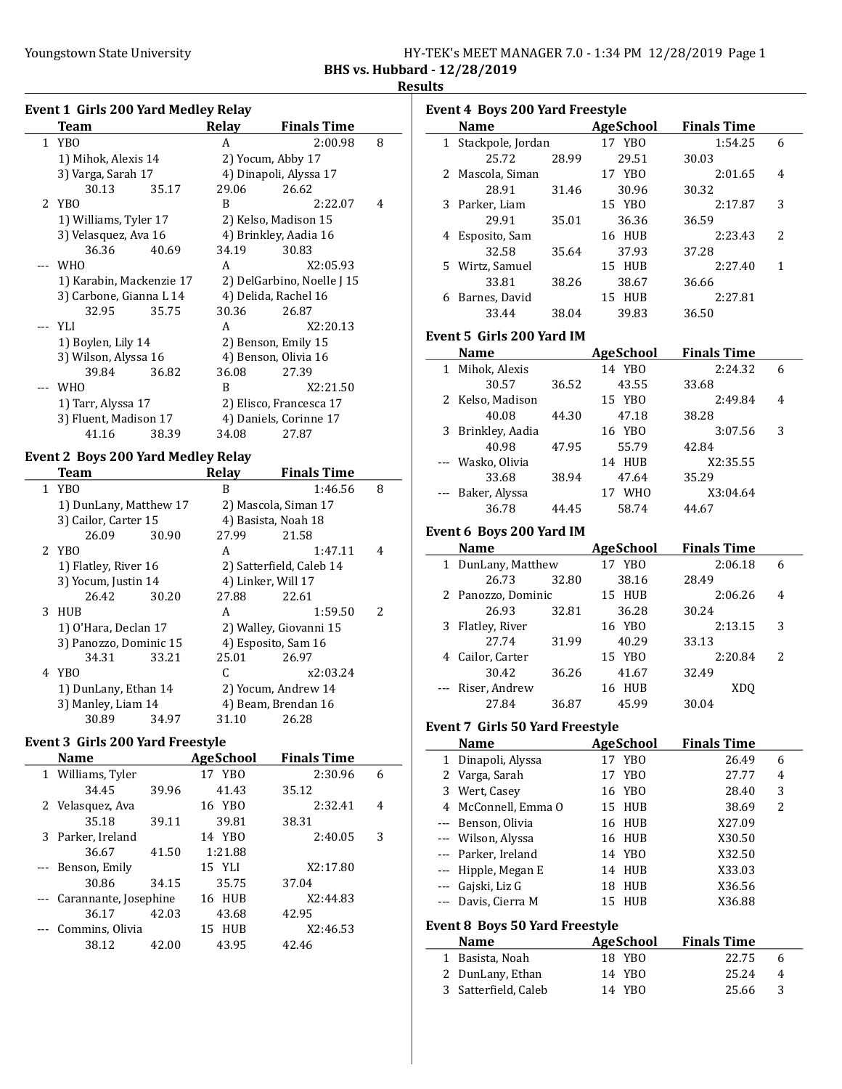|                              | HY-TEK's MEET MANAGER 7.0 - 1:34 PM 12/28/2019 Page 1 |  |  |  |
|------------------------------|-------------------------------------------------------|--|--|--|
| BHS vs. Hubbard - 12/28/2019 |                                                       |  |  |  |

### **Results**

|              | <b>Event 1 Girls 200 Yard Medley Relay</b> |              |                            |   |
|--------------|--------------------------------------------|--------------|----------------------------|---|
|              | Team                                       | Relay        | <b>Finals Time</b>         |   |
| $\mathbf{1}$ | YB <sub>0</sub>                            | A            | 2:00.98                    | 8 |
|              | 1) Mihok, Alexis 14                        |              | 2) Yocum, Abby 17          |   |
|              | 3) Varga, Sarah 17                         |              | 4) Dinapoli, Alyssa 17     |   |
|              | 30.13<br>35.17                             | 29.06        | 26.62                      |   |
| 2            | YBO                                        | B            | 2:22.07                    | 4 |
|              | 1) Williams, Tyler 17                      |              | 2) Kelso, Madison 15       |   |
|              | 3) Velasquez, Ava 16                       |              | 4) Brinkley, Aadia 16      |   |
|              | 36.36<br>40.69                             | 34.19        | 30.83                      |   |
| $---$        | <b>WHO</b>                                 | A            | X2:05.93                   |   |
|              | 1) Karabin, Mackenzie 17                   |              | 2) DelGarbino, Noelle J 15 |   |
|              | 3) Carbone, Gianna L 14                    |              | 4) Delida, Rachel 16       |   |
|              | 32.95<br>35.75                             | 30.36        | 26.87                      |   |
|              | YLI                                        | A            | X2:20.13                   |   |
|              | 1) Boylen, Lily 14                         |              | 2) Benson, Emily 15        |   |
|              | 3) Wilson, Alyssa 16                       |              | 4) Benson, Olivia 16       |   |
|              | 39.84<br>36.82                             | 36.08        | 27.39                      |   |
| ---          | <b>WHO</b>                                 | B            | X2:21.50                   |   |
|              | 1) Tarr, Alyssa 17                         |              | 2) Elisco, Francesca 17    |   |
|              | 3) Fluent, Madison 17                      |              | 4) Daniels, Corinne 17     |   |
|              | 41.16<br>38.39                             | 34.08        | 27.87                      |   |
|              | <b>Event 2 Boys 200 Yard Medley Relay</b>  |              |                            |   |
|              | <b>Team</b>                                | <b>Relay</b> | <b>Finals Time</b>         |   |
| $\mathbf{1}$ | YBO                                        | B            | 1:46.56                    | 8 |
|              | 1) DunLany, Matthew 17                     |              | 2) Mascola, Siman 17       |   |
|              | 3) Cailor, Carter 15                       |              | 4) Basista, Noah 18        |   |
|              | 26.09<br>30.90                             | 27.99        | 21.58                      |   |
| 2            | YB <sub>0</sub>                            | A            | 1:47.11                    | 4 |
|              | 1) Flatley, River 16                       |              | 2) Satterfield, Caleb 14   |   |
|              | 3) Yocum, Justin 14                        |              | 4) Linker, Will 17         |   |
|              | 26.42<br>30.20                             | 27.88        | 22.61                      |   |
| 3            | HUB                                        | A            | 1:59.50                    | 2 |
|              | 1) O'Hara, Declan 17                       |              | 2) Walley, Giovanni 15     |   |
|              | 3) Panozzo, Dominic 15                     |              | 4) Esposito, Sam 16        |   |
|              | 34.31<br>33.21                             | 25.01        | 26.97                      |   |
| 4            | YBO                                        | C            | x2:03.24                   |   |
|              | 1) DunLany, Ethan 14                       |              | 2) Yocum, Andrew 14        |   |
|              | 3) Manley, Liam 14                         |              | 4) Beam, Brendan 16        |   |
|              | 30.89<br>34.97                             | 31.10        | 26.28                      |   |

### Event 3 Girls 200 Yard Freestyle

| <b>Name</b>               |       | AgeSchool | <b>Finals Time</b> |   |
|---------------------------|-------|-----------|--------------------|---|
| 1 Williams, Tyler         |       | 17 YBO    | 2:30.96            | 6 |
| 34.45                     | 39.96 | 41.43     | 35.12              |   |
| 2 Velasquez, Ava          |       | 16 YBO    | 2:32.41            | 4 |
| 35.18                     | 39.11 | 39.81     | 38.31              |   |
| 3 Parker, Ireland         |       | 14 YBO    | 2:40.05            | 3 |
| 36.67                     | 41.50 | 1:21.88   |                    |   |
| --- Benson, Emily         |       | 15 YLI    | X2:17.80           |   |
| 30.86                     | 34.15 | 35.75     | 37.04              |   |
| --- Carannante, Josephine |       | 16 HUB    | X2:44.83           |   |
| 36.17                     | 42.03 | 43.68     | 42.95              |   |
| Commins, Olivia           |       | HUB<br>15 | X2:46.53           |   |
| 38.12                     | 42.00 | 43.95     | 42.46              |   |
|                           |       |           |                    |   |

| <b>Event 4 Boys 200 Yard Freestyle</b> |                     |       |           |                    |   |  |  |  |  |
|----------------------------------------|---------------------|-------|-----------|--------------------|---|--|--|--|--|
|                                        | <b>Name</b>         |       | AgeSchool | <b>Finals Time</b> |   |  |  |  |  |
|                                        | 1 Stackpole, Jordan |       | 17 YBO    | 1:54.25            | 6 |  |  |  |  |
|                                        | 25.72               | 28.99 | 29.51     | 30.03              |   |  |  |  |  |
|                                        | 2 Mascola, Siman    |       | 17 YBO    | 2:01.65            | 4 |  |  |  |  |
|                                        | 28.91               | 31.46 | 30.96     | 30.32              |   |  |  |  |  |
| 3                                      | Parker, Liam        |       | 15 YBO    | 2:17.87            | 3 |  |  |  |  |
|                                        | 29.91               | 35.01 | 36.36     | 36.59              |   |  |  |  |  |
| 4                                      | Esposito, Sam       |       | 16 HUB    | 2:23.43            | 2 |  |  |  |  |
|                                        | 32.58               | 35.64 | 37.93     | 37.28              |   |  |  |  |  |
|                                        | 5 Wirtz, Samuel     |       | 15 HUB    | 2:27.40            | 1 |  |  |  |  |
|                                        | 33.81               | 38.26 | 38.67     | 36.66              |   |  |  |  |  |
| 6                                      | Barnes, David       |       | 15 HUB    | 2:27.81            |   |  |  |  |  |
|                                        | 33.44               | 38.04 | 39.83     | 36.50              |   |  |  |  |  |
|                                        |                     |       |           |                    |   |  |  |  |  |

## Event 5 Girls 200 Yard IM

|   | <b>Name</b>       |       | <b>AgeSchool</b> | <b>Finals Time</b> |   |  |
|---|-------------------|-------|------------------|--------------------|---|--|
| 1 | Mihok, Alexis     |       | 14 YBO           | 2:24.32            | 6 |  |
|   | 30.57             | 36.52 | 43.55            | 33.68              |   |  |
|   | 2 Kelso, Madison  |       | 15 YBO           | 2:49.84            | 4 |  |
|   | 40.08             | 44.30 | 47.18            | 38.28              |   |  |
|   | 3 Brinkley, Aadia |       | 16 YBO           | 3:07.56            | 3 |  |
|   | 40.98             | 47.95 | 55.79            | 42.84              |   |  |
|   | --- Wasko, Olivia |       | HUB<br>14        | X2:35.55           |   |  |
|   | 33.68             | 38.94 | 47.64            | 35.29              |   |  |
|   | --- Baker, Alyssa |       | <b>WHO</b><br>17 | X3:04.64           |   |  |
|   | 36.78             | 44.45 | 58.74            | 44.67              |   |  |

# Event 6 Boys 200 Yard IM

|   | <b>Name</b>        |       | <b>AgeSchool</b> | <b>Finals Time</b> |    |
|---|--------------------|-------|------------------|--------------------|----|
| 1 | DunLany, Matthew   |       | 17 YBO           | 2:06.18            | 6  |
|   | 26.73              | 32.80 | 38.16            | 28.49              |    |
|   | 2 Panozzo, Dominic |       | 15 HUB           | 2:06.26            | 4  |
|   | 26.93              | 32.81 | 36.28            | 30.24              |    |
| 3 | Flatley, River     |       | 16 YBO           | 2:13.15            | 3  |
|   | 27.74              | 31.99 | 40.29            | 33.13              |    |
|   | 4 Cailor, Carter   |       | 15 YBO           | 2:20.84            | 2. |
|   | 30.42              | 36.26 | 41.67            | 32.49              |    |
|   | --- Riser, Andrew  |       | 16 HUB           | XDO                |    |
|   | 27.84              | 36.87 | 45.99            | 30.04              |    |

### Event 7 Girls 50 Yard Freestyle

| <b>Name</b>                           |  | <b>AgeSchool</b> | <b>Finals Time</b> |   |  |  |  |  |
|---------------------------------------|--|------------------|--------------------|---|--|--|--|--|
| 1 Dinapoli, Alyssa                    |  | 17 YBO           | 26.49              | 6 |  |  |  |  |
| 2 Varga, Sarah                        |  | 17 YBO           | 27.77              | 4 |  |  |  |  |
| 3 Wert, Casey                         |  | 16 YBO           | 28.40              | 3 |  |  |  |  |
| 4 McConnell, Emma O                   |  | 15 HUB           | 38.69              | 2 |  |  |  |  |
| --- Benson, Olivia                    |  | 16 HUB           | X27.09             |   |  |  |  |  |
| --- Wilson, Alyssa                    |  | 16 HUB           | X30.50             |   |  |  |  |  |
| --- Parker, Ireland                   |  | 14 YBO           | X32.50             |   |  |  |  |  |
| --- Hipple, Megan E                   |  | 14 HUB           | X33.03             |   |  |  |  |  |
| --- Gajski, Liz G                     |  | 18 HUB           | X36.56             |   |  |  |  |  |
| --- Davis, Cierra M                   |  | 15 HUB           | X36.88             |   |  |  |  |  |
| <b>Event 8 Boys 50 Yard Freestyle</b> |  |                  |                    |   |  |  |  |  |

| <b>Name</b>          | AgeSchool | <b>Finals Time</b> |                        |
|----------------------|-----------|--------------------|------------------------|
| 1 Basista, Noah      | 18 YBO    | 22.75              | h                      |
| 2 DunLany, Ethan     | 14 YBO    | 25.24              | $\boldsymbol{\Lambda}$ |
| 3 Satterfield, Caleb | 14 YBO    | 25.66              | -3                     |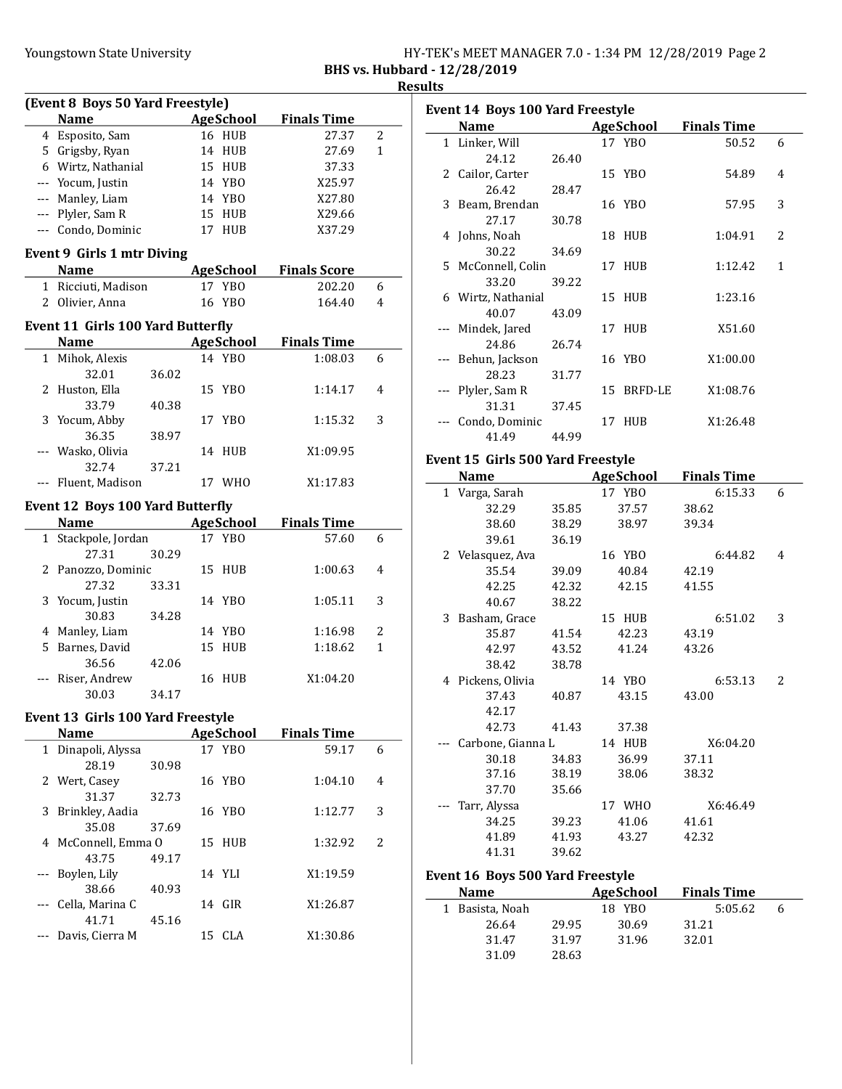|                                     | HY-TEK's MEET MANAGER 7.0 - 1:34 PM 12/28/2019 Page 2 |  |  |
|-------------------------------------|-------------------------------------------------------|--|--|
| <b>BHS vs. Hubbard - 12/28/2019</b> |                                                       |  |  |

Results

|              | (Event 8 Boys 50 Yard Freestyle)                 |       |    |                  |                     |   |
|--------------|--------------------------------------------------|-------|----|------------------|---------------------|---|
|              | <b>Name</b>                                      |       |    | AgeSchool        | <b>Finals Time</b>  |   |
|              | 4 Esposito, Sam                                  |       |    | 16 HUB           | 27.37               | 2 |
|              | 5 Grigsby, Ryan                                  |       |    | 14 HUB           | 27.69               | 1 |
|              | 6 Wirtz, Nathanial                               |       |    | 15 HUB           | 37.33               |   |
|              | --- Yocum, Justin                                |       |    | 14 YBO           | X25.97              |   |
|              | --- Manley, Liam                                 |       |    | 14 YBO           | X27.80              |   |
|              | --- Plyler, Sam R                                |       |    | 15 HUB           | X29.66              |   |
|              | --- Condo, Dominic                               |       |    | 17 HUB           | X37.29              |   |
|              |                                                  |       |    |                  |                     |   |
|              | <b>Event 9 Girls 1 mtr Diving</b><br><b>Name</b> |       |    | <b>AgeSchool</b> | <b>Finals Score</b> |   |
|              | 1 Ricciuti, Madison                              |       |    | 17 YBO           | 202.20              |   |
|              |                                                  |       |    |                  |                     | 6 |
|              | 2 Olivier, Anna                                  |       |    | 16 YBO           | 164.40              | 4 |
|              | <b>Event 11 Girls 100 Yard Butterfly</b>         |       |    |                  |                     |   |
|              | <b>Name</b>                                      |       |    | AgeSchool        | <b>Finals Time</b>  |   |
|              | 1 Mihok, Alexis                                  |       |    | 14 YBO           | 1:08.03             | 6 |
|              | 32.01                                            | 36.02 |    |                  |                     |   |
| 2            | Huston, Ella                                     |       |    | 15 YBO           | 1:14.17             | 4 |
|              | 33.79                                            | 40.38 |    |                  |                     |   |
|              | 3 Yocum, Abby                                    |       |    | 17 YBO           | 1:15.32             | 3 |
|              | 36.35                                            | 38.97 |    |                  |                     |   |
|              | --- Wasko, Olivia                                |       |    | 14 HUB           | X1:09.95            |   |
|              | 32.74                                            | 37.21 |    |                  |                     |   |
|              | --- Fluent, Madison                              |       |    | 17 WHO           | X1:17.83            |   |
|              |                                                  |       |    |                  |                     |   |
|              | <b>Event 12 Boys 100 Yard Butterfly</b>          |       |    |                  |                     |   |
|              | <b>Name</b>                                      |       |    | <b>AgeSchool</b> | <b>Finals Time</b>  |   |
| $\mathbf{1}$ | Stackpole, Jordan                                |       |    | 17 YBO           | 57.60               | 6 |
|              | 27.31                                            | 30.29 |    |                  |                     |   |
|              | 2 Panozzo, Dominic                               |       |    | 15 HUB           | 1:00.63             | 4 |
|              | 27.32                                            | 33.31 |    |                  |                     |   |
| 3            | Yocum, Justin                                    |       |    | 14 YBO           | 1:05.11             | 3 |
|              | 30.83                                            | 34.28 |    |                  |                     |   |
|              | 4 Manley, Liam                                   |       |    | 14 YBO           | 1:16.98             | 2 |
|              | 5 Barnes, David                                  |       | 15 | HUB              | 1:18.62             | 1 |
|              | 36.56                                            | 42.06 |    |                  |                     |   |
|              | --- Riser, Andrew                                |       |    | 16 HUB           | X1:04.20            |   |
|              | 30.03                                            | 34.17 |    |                  |                     |   |
|              | Event 13 Girls 100 Yard Freestyle                |       |    |                  |                     |   |
|              | <b>Name</b>                                      |       |    | <b>AgeSchool</b> | <b>Finals Time</b>  |   |
| $\mathbf{1}$ | Dinapoli, Alyssa                                 |       |    | 17 YBO           | 59.17               | 6 |
|              | 28.19                                            | 30.98 |    |                  |                     |   |
| 2            | Wert, Casey                                      |       |    | 16 YBO           | 1:04.10             | 4 |
|              | 31.37                                            | 32.73 |    |                  |                     |   |
| 3            | Brinkley, Aadia                                  |       |    | 16 YBO           | 1:12.77             | 3 |
|              | 35.08                                            | 37.69 |    |                  |                     |   |
| 4            | McConnell, Emma O                                |       |    | 15 HUB           | 1:32.92             | 2 |
|              | 43.75                                            | 49.17 |    |                  |                     |   |
| ---          | Boylen, Lily                                     |       |    | 14 YLI           | X1:19.59            |   |
|              | 38.66                                            | 40.93 |    |                  |                     |   |
| $---$        | Cella, Marina C                                  |       |    | 14 GIR           | X1:26.87            |   |
|              | 41.71                                            | 45.16 |    |                  |                     |   |
|              | Davis, Cierra M                                  |       | 15 | CLA              | X1:30.86            |   |
|              |                                                  |       |    |                  |                     |   |

| <b>Name</b><br>1 Linker, Will<br>24.12 | 26.40                                                                                                                                         |                                        | AgeSchool<br>17 YBO | <b>Finals Time</b><br>50.52                                                  | 6                        |
|----------------------------------------|-----------------------------------------------------------------------------------------------------------------------------------------------|----------------------------------------|---------------------|------------------------------------------------------------------------------|--------------------------|
|                                        |                                                                                                                                               |                                        |                     |                                                                              |                          |
|                                        |                                                                                                                                               |                                        |                     |                                                                              |                          |
|                                        |                                                                                                                                               |                                        |                     |                                                                              |                          |
|                                        |                                                                                                                                               |                                        |                     | 54.89                                                                        | 4                        |
|                                        | 28.47                                                                                                                                         |                                        |                     |                                                                              |                          |
|                                        |                                                                                                                                               |                                        |                     | 57.95                                                                        | 3                        |
| 27.17                                  | 30.78                                                                                                                                         |                                        |                     |                                                                              |                          |
|                                        |                                                                                                                                               |                                        |                     | 1:04.91                                                                      | $\overline{\mathcal{L}}$ |
| 30.22                                  | 34.69                                                                                                                                         |                                        |                     |                                                                              |                          |
|                                        |                                                                                                                                               |                                        |                     | 1:12.42                                                                      | 1                        |
| 33.20                                  | 39.22                                                                                                                                         |                                        |                     |                                                                              |                          |
|                                        |                                                                                                                                               |                                        |                     | 1:23.16                                                                      |                          |
| 40.07                                  | 43.09                                                                                                                                         |                                        |                     |                                                                              |                          |
|                                        |                                                                                                                                               |                                        |                     | X51.60                                                                       |                          |
| 24.86                                  | 26.74                                                                                                                                         |                                        |                     |                                                                              |                          |
|                                        |                                                                                                                                               |                                        |                     | X1:00.00                                                                     |                          |
| 28.23                                  | 31.77                                                                                                                                         |                                        |                     |                                                                              |                          |
|                                        |                                                                                                                                               |                                        |                     | X1:08.76                                                                     |                          |
| 31.31                                  | 37.45                                                                                                                                         |                                        |                     |                                                                              |                          |
|                                        |                                                                                                                                               |                                        |                     | X1:26.48                                                                     |                          |
| 41.49                                  | 44.99                                                                                                                                         |                                        |                     |                                                                              |                          |
|                                        | 26.42<br>3 Beam, Brendan<br>4 Johns, Noah<br>6 Wirtz, Nathanial<br>--- Mindek, Jared<br>--- Behun, Jackson<br>Plyler, Sam R<br>Condo, Dominic | 2 Cailor, Carter<br>5 McConnell, Colin |                     | 15 YBO<br>16 YBO<br>18 HUB<br>17 HUB<br>15 HUB<br>17 HUB<br>16 YBO<br>17 HUB | 15 BRFD-LE               |

# Event 15 Girls 500 Yard Freestyle

|   | Name              |       | <b>AgeSchool</b> | <b>Finals Time</b> |   |
|---|-------------------|-------|------------------|--------------------|---|
|   | 1 Varga, Sarah    |       | 17 YBO           | 6:15.33            | 6 |
|   | 32.29             | 35.85 | 37.57            | 38.62              |   |
|   | 38.60             | 38.29 | 38.97            | 39.34              |   |
|   | 39.61             | 36.19 |                  |                    |   |
|   | 2 Velasquez, Ava  |       | 16 YBO           | 6:44.82            | 4 |
|   | 35.54             | 39.09 | 40.84            | 42.19              |   |
|   | 42.25             | 42.32 | 42.15            | 41.55              |   |
|   | 40.67             | 38.22 |                  |                    |   |
| 3 | Basham, Grace     |       | 15 HUB           | 6:51.02            | 3 |
|   | 35.87             | 41.54 | 42.23            | 43.19              |   |
|   | 42.97             | 43.52 | 41.24            | 43.26              |   |
|   | 38.42             | 38.78 |                  |                    |   |
|   | 4 Pickens, Olivia |       | 14 YBO           | 6:53.13            | 2 |
|   | 37.43             | 40.87 | 43.15            | 43.00              |   |
|   | 42.17             |       |                  |                    |   |
|   | 42.73             | 41.43 | 37.38            |                    |   |
|   | Carbone, Gianna L |       | 14 HUB           | X6:04.20           |   |
|   | 30.18             | 34.83 | 36.99            | 37.11              |   |
|   | 37.16             | 38.19 | 38.06            | 38.32              |   |
|   | 37.70             | 35.66 |                  |                    |   |
|   | Tarr, Alyssa      |       | 17 WHO           | X6:46.49           |   |
|   | 34.25             | 39.23 | 41.06            | 41.61              |   |
|   | 41.89             | 41.93 | 43.27            | 42.32              |   |
|   | 41.31             | 39.62 |                  |                    |   |

### Event 16 Boys 500 Yard Freestyle

| <b>Name</b>     |       | <b>AgeSchool</b> | <b>Finals Time</b> |   |
|-----------------|-------|------------------|--------------------|---|
| 1 Basista, Noah |       | 18 YBO           | 5:05.62            | 6 |
| 26.64           | 29.95 | 30.69            | 31.21              |   |
| 31.47           | 31.97 | 31.96            | 32.01              |   |
| 31.09           | 28.63 |                  |                    |   |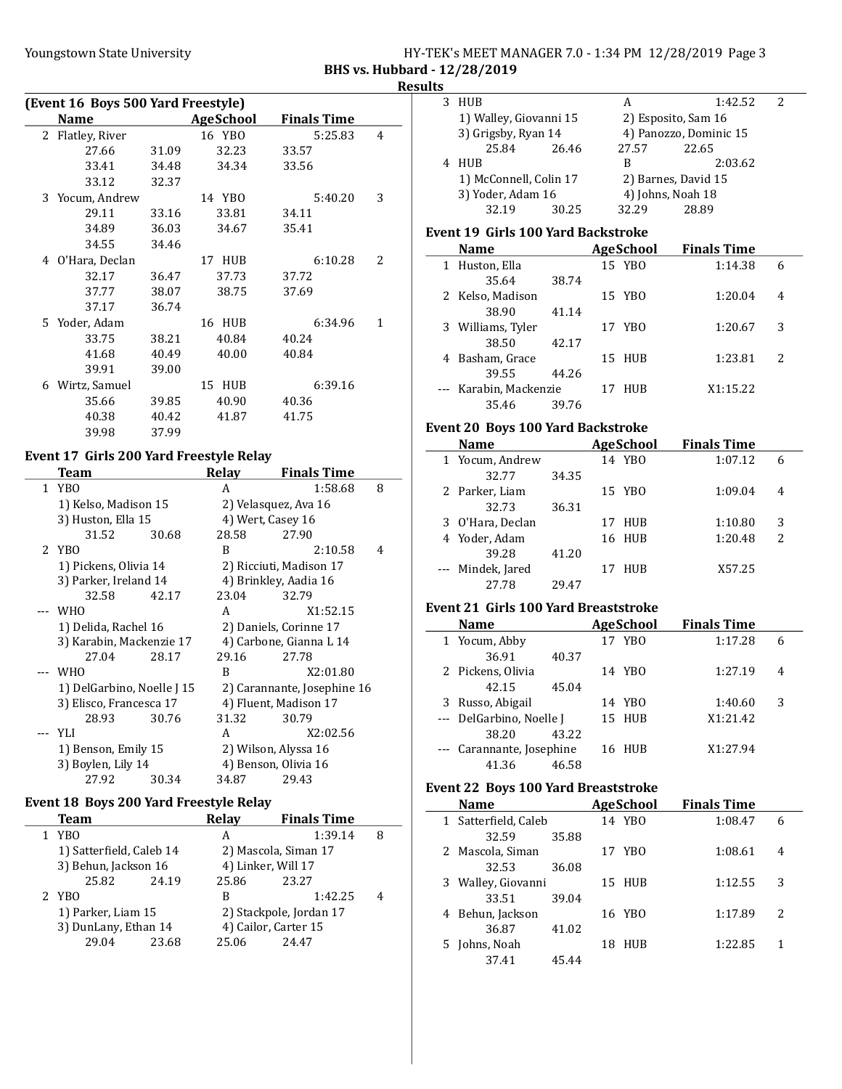## Youngstown State University The HY-TEK's MEET MANAGER 7.0 - 1:34 PM 12/28/2019 Page 3 BHS vs. Hubbard - 12/28/2019

## Results

| (Event 16 Boys 500 Yard Freestyle)                    |                |       |           |         |                          |  |
|-------------------------------------------------------|----------------|-------|-----------|---------|--------------------------|--|
| <b>Name</b><br><b>AgeSchool</b><br><b>Finals Time</b> |                |       |           |         |                          |  |
| 2                                                     | Flatley, River |       | 16 YBO    | 5:25.83 | 4                        |  |
|                                                       | 27.66          | 31.09 | 32.23     | 33.57   |                          |  |
|                                                       | 33.41          | 34.48 | 34.34     | 33.56   |                          |  |
|                                                       | 33.12          | 32.37 |           |         |                          |  |
| 3                                                     | Yocum, Andrew  |       | 14 YBO    | 5:40.20 | 3                        |  |
|                                                       | 29.11          | 33.16 | 33.81     | 34.11   |                          |  |
|                                                       | 34.89          | 36.03 | 34.67     | 35.41   |                          |  |
|                                                       | 34.55          | 34.46 |           |         |                          |  |
| 4                                                     | O'Hara, Declan |       | 17 HUB    | 6:10.28 | $\overline{\mathcal{L}}$ |  |
|                                                       | 32.17          | 36.47 | 37.73     | 37.72   |                          |  |
|                                                       | 37.77          | 38.07 | 38.75     | 37.69   |                          |  |
|                                                       | 37.17          | 36.74 |           |         |                          |  |
|                                                       | 5 Yoder, Adam  |       | 16 HUB    | 6:34.96 | 1                        |  |
|                                                       | 33.75          | 38.21 | 40.84     | 40.24   |                          |  |
|                                                       | 41.68          | 40.49 | 40.00     | 40.84   |                          |  |
|                                                       | 39.91          | 39.00 |           |         |                          |  |
| 6                                                     | Wirtz, Samuel  |       | 15<br>HUB | 6:39.16 |                          |  |
|                                                       | 35.66          | 39.85 | 40.90     | 40.36   |                          |  |
|                                                       | 40.38          | 40.42 | 41.87     | 41.75   |                          |  |
|                                                       | 39.98          | 37.99 |           |         |                          |  |

# Event 17 Girls 200 Yard Freestyle Relay

 $\overline{a}$ 

 $\overline{a}$ 

|   | Team                       |                          | Relay                  | <b>Finals Time</b>          |   |
|---|----------------------------|--------------------------|------------------------|-----------------------------|---|
| 1 | YB <sub>0</sub>            |                          | A                      | 1:58.68                     | 8 |
|   | 1) Kelso, Madison 15       |                          |                        | 2) Velasquez, Ava 16        |   |
|   | 3) Huston, Ella 15         |                          | 4) Wert, Casey 16      |                             |   |
|   | 31.52                      | 30.68                    | 28.58                  | 27.90                       |   |
|   | 2 YBO                      |                          | B                      | 2:10.58                     | 4 |
|   | 1) Pickens, Olivia 14      |                          |                        | 2) Ricciuti, Madison 17     |   |
|   | 3) Parker, Ireland 14      |                          |                        | 4) Brinkley, Aadia 16       |   |
|   | 32.58                      | 42.17                    | 23.04                  | 32.79                       |   |
|   | WH <sub>0</sub>            |                          | A                      | X1:52.15                    |   |
|   | 1) Delida, Rachel 16       |                          | 2) Daniels, Corinne 17 |                             |   |
|   |                            | 3) Karabin, Mackenzie 17 |                        | 4) Carbone, Gianna L 14     |   |
|   | 27.04                      | 28.17                    | 29.16                  | 27.78                       |   |
|   | <b>WHO</b>                 |                          | B                      | X2:01.80                    |   |
|   | 1) DelGarbino, Noelle J 15 |                          |                        | 2) Carannante, Josephine 16 |   |
|   | 3) Elisco, Francesca 17    |                          | 4) Fluent, Madison 17  |                             |   |
|   | 28.93                      | 30.76                    | 31.32                  | 30.79                       |   |
|   | YLI                        |                          | A                      | X2:02.56                    |   |
|   | 1) Benson, Emily 15        |                          |                        | 2) Wilson, Alyssa 16        |   |
|   | 3) Boylen, Lily 14         |                          |                        | 4) Benson, Olivia 16        |   |
|   | 27.92                      | 30.34                    | 34.87                  | 29.43                       |   |

## Event 18 Boys 200 Yard Freestyle Relay

| Team                     |       | Relay | <b>Finals Time</b>      |   |
|--------------------------|-------|-------|-------------------------|---|
| YB <sub>0</sub>          |       | А     | 1:39.14                 | 8 |
| 1) Satterfield, Caleb 14 |       |       | 2) Mascola, Siman 17    |   |
| 3) Behun, Jackson 16     |       |       | 4) Linker, Will 17      |   |
| 25.82                    | 24.19 | 25.86 | 23.27                   |   |
| 2 YBO                    |       | B     | 1:42.25                 | 4 |
| 1) Parker, Liam 15       |       |       | 2) Stackpole, Jordan 17 |   |
| 3) DunLany, Ethan 14     |       |       | 4) Cailor, Carter 15    |   |
| 29.04                    | 23.68 | 25.06 | 24.47                   |   |
|                          |       |       |                         |   |

| ults | 1 - 14/40/4019                              |       |    |                  |                              |   |
|------|---------------------------------------------|-------|----|------------------|------------------------------|---|
| 3    | HUB                                         |       |    | A                | 1:42.52                      | 2 |
|      | 1) Walley, Giovanni 15                      |       |    |                  | 2) Esposito, Sam 16          |   |
|      | 3) Grigsby, Ryan 14                         |       |    |                  | 4) Panozzo, Dominic 15       |   |
|      | 25.84                                       | 26.46 |    | 27.57            | 22.65                        |   |
|      | 4 HUB                                       |       |    | B                | 2:03.62                      |   |
|      | 1) McConnell, Colin 17                      |       |    |                  | 2) Barnes, David 15          |   |
|      | 3) Yoder, Adam 16                           |       |    |                  | 4) Johns, Noah 18            |   |
|      | 32.19                                       | 30.25 |    | 32.29            | 28.89                        |   |
|      |                                             |       |    |                  |                              |   |
|      | <b>Event 19 Girls 100 Yard Backstroke</b>   |       |    | AgeSchool        | <b>Finals Time</b>           |   |
|      | Name<br>1 Huston, Ella                      |       |    | 15 YBO           | 1:14.38                      |   |
|      | 35.64                                       |       |    |                  |                              | 6 |
|      |                                             | 38.74 |    |                  |                              |   |
|      | 2 Kelso, Madison                            |       |    | 15 YBO           | 1:20.04                      | 4 |
|      | 38.90                                       | 41.14 |    |                  |                              |   |
|      | 3 Williams, Tyler                           |       |    | 17 YBO           | 1:20.67                      | 3 |
|      | 38.50                                       | 42.17 |    |                  |                              |   |
|      | 4 Basham, Grace                             |       |    | 15 HUB           | 1:23.81                      | 2 |
|      | 39.55                                       | 44.26 |    |                  |                              |   |
|      | --- Karabin, Mackenzie                      |       |    | 17 HUB           | X1:15.22                     |   |
|      | 35.46                                       | 39.76 |    |                  |                              |   |
|      | <b>Event 20 Boys 100 Yard Backstroke</b>    |       |    |                  |                              |   |
|      | Name                                        |       |    |                  | <b>AgeSchool</b> Finals Time |   |
|      | 1 Yocum, Andrew                             |       |    | 14 YBO           | 1:07.12                      | 6 |
|      | 32.77                                       | 34.35 |    |                  |                              |   |
|      | 2 Parker, Liam                              |       |    | 15 YBO           | 1:09.04                      | 4 |
|      | 32.73                                       | 36.31 |    |                  |                              |   |
|      | 3 O'Hara, Declan                            |       |    | 17 HUB           | 1:10.80                      | 3 |
|      | 4 Yoder, Adam                               |       |    | 16 HUB           | 1:20.48                      | 2 |
|      | 39.28                                       | 41.20 |    |                  |                              |   |
|      | Mindek, Jared                               |       |    | 17 HUB           | X57.25                       |   |
|      | 27.78                                       | 29.47 |    |                  |                              |   |
|      | <b>Event 21 Girls 100 Yard Breaststroke</b> |       |    |                  |                              |   |
|      | Name                                        |       |    | <b>AgeSchool</b> | <b>Finals Time</b>           |   |
|      | 1 Yocum, Abby                               |       |    | 17 YBO           | 1:17.28                      | 6 |
|      | 36.91                                       | 40.37 |    |                  |                              |   |
|      | 2 Pickens, Olivia                           |       |    | 14 YBO           | 1:27.19                      | 4 |
|      | 42.15                                       | 45.04 |    |                  |                              |   |
|      | 3 Russo, Abigail                            |       |    | 14 YBO           | 1:40.60                      | 3 |
| ---  | DelGarbino, Noelle J                        |       |    | 15 HUB           | X1:21.42                     |   |
|      | 38.20                                       | 43.22 |    |                  |                              |   |
| ---  | Carannante, Josephine                       |       |    | 16 HUB           | X1:27.94                     |   |
|      | 41.36                                       | 46.58 |    |                  |                              |   |
|      |                                             |       |    |                  |                              |   |
|      | <b>Event 22 Boys 100 Yard Breaststroke</b>  |       |    |                  |                              |   |
|      | Name                                        |       |    | <b>AgeSchool</b> | <b>Finals Time</b>           |   |
| 1    | Satterfield, Caleb                          |       |    | 14 YBO           | 1:08.47                      | 6 |
|      | 32.59                                       | 35.88 |    |                  |                              |   |
| 2    | Mascola, Siman                              |       |    | 17 YBO           | 1:08.61                      | 4 |
|      | 32.53                                       | 36.08 |    |                  |                              |   |
| 3    | Walley, Giovanni                            |       | 15 | HUB              | 1:12.55                      | 3 |
|      | 33.51                                       | 39.04 |    |                  |                              |   |
| 4    | Behun, Jackson                              |       |    | 16 YBO           | 1:17.89                      | 2 |
|      | 36.87                                       | 41.02 |    |                  |                              |   |
| 5    | Johns, Noah                                 |       |    | 18 HUB           | 1:22.85                      | 1 |
|      | 37.41                                       | 45.44 |    |                  |                              |   |